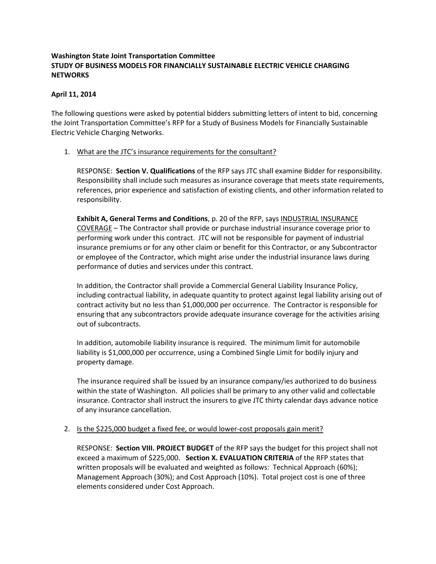## **Washington State Joint Transportation Committee STUDY OF BUSINESS MODELS FOR FINANCIALLY SUSTAINABLE ELECTRIC VEHICLE CHARGING NETWORKS**

### **April 11, 2014**

The following questions were asked by potential bidders submitting letters of intent to bid, concerning the Joint Transportation Committee's RFP for a Study of Business Models for Financially Sustainable Electric Vehicle Charging Networks.

### 1. What are the JTC's insurance requirements for the consultant?

RESPONSE: **Section V. Qualifications** of the RFP says JTC shall examine Bidder for responsibility. Responsibility shall include such measures as insurance coverage that meets state requirements, references, prior experience and satisfaction of existing clients, and other information related to responsibility.

**Exhibit A, General Terms and Conditions**, p. 20 of the RFP, says INDUSTRIAL INSURANCE COVERAGE – The Contractor shall provide or purchase industrial insurance coverage prior to performing work under this contract. JTC will not be responsible for payment of industrial insurance premiums or for any other claim or benefit for this Contractor, or any Subcontractor or employee of the Contractor, which might arise under the industrial insurance laws during performance of duties and services under this contract.

In addition, the Contractor shall provide a Commercial General Liability Insurance Policy, including contractual liability, in adequate quantity to protect against legal liability arising out of contract activity but no less than \$1,000,000 per occurrence. The Contractor is responsible for ensuring that any subcontractors provide adequate insurance coverage for the activities arising out of subcontracts.

In addition, automobile liability insurance is required. The minimum limit for automobile liability is \$1,000,000 per occurrence, using a Combined Single Limit for bodily injury and property damage.

The insurance required shall be issued by an insurance company/ies authorized to do business within the state of Washington. All policies shall be primary to any other valid and collectable insurance. Contractor shall instruct the insurers to give JTC thirty calendar days advance notice of any insurance cancellation.

#### 2. Is the \$225,000 budget a fixed fee, or would lower-cost proposals gain merit?

RESPONSE: **Section VIII. PROJECT BUDGET** of the RFP says the budget for this project shall not exceed a maximum of \$225,000. **Section X. EVALUATION CRITERIA** of the RFP states that written proposals will be evaluated and weighted as follows: Technical Approach (60%); Management Approach (30%); and Cost Approach (10%). Total project cost is one of three elements considered under Cost Approach.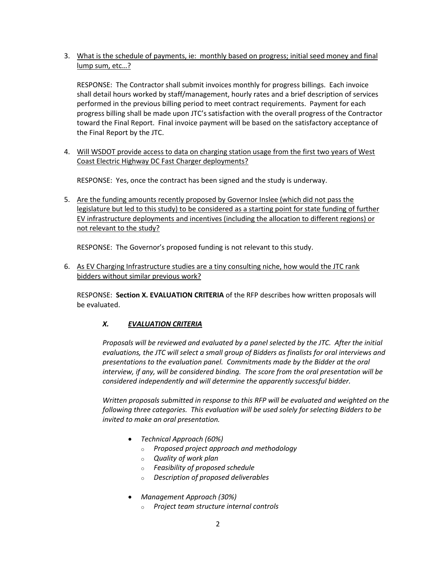3. What is the schedule of payments, ie: monthly based on progress; initial seed money and final lump sum, etc…?

RESPONSE: The Contractor shall submit invoices monthly for progress billings. Each invoice shall detail hours worked by staff/management, hourly rates and a brief description of services performed in the previous billing period to meet contract requirements. Payment for each progress billing shall be made upon JTC's satisfaction with the overall progress of the Contractor toward the Final Report. Final invoice payment will be based on the satisfactory acceptance of the Final Report by the JTC.

4. Will WSDOT provide access to data on charging station usage from the first two years of West Coast Electric Highway DC Fast Charger deployments?

RESPONSE: Yes, once the contract has been signed and the study is underway.

5. Are the funding amounts recently proposed by Governor Inslee (which did not pass the legislature but led to this study) to be considered as a starting point for state funding of further EV infrastructure deployments and incentives (including the allocation to different regions) or not relevant to the study?

RESPONSE: The Governor's proposed funding is not relevant to this study.

6. As EV Charging Infrastructure studies are a tiny consulting niche, how would the JTC rank bidders without similar previous work?

RESPONSE: **Section X. EVALUATION CRITERIA** of the RFP describes how written proposals will be evaluated.

# *X. EVALUATION CRITERIA*

*Proposals will be reviewed and evaluated by a panel selected by the JTC. After the initial evaluations, the JTC will select a small group of Bidders as finalists for oral interviews and presentations to the evaluation panel. Commitments made by the Bidder at the oral interview, if any, will be considered binding. The score from the oral presentation will be considered independently and will determine the apparently successful bidder.*

*Written proposals submitted in response to this RFP will be evaluated and weighted on the following three categories. This evaluation will be used solely for selecting Bidders to be invited to make an oral presentation.*

- *Technical Approach (60%)*
	- o *Proposed project approach and methodology*
	- o *Quality of work plan*
	- o *Feasibility of proposed schedule*
	- o *Description of proposed deliverables*
- *Management Approach (30%)*
	- o *Project team structure internal controls*